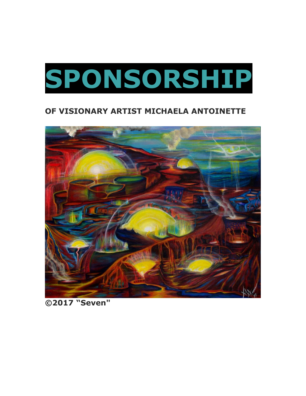

## **OF VISIONARY ARTIST MICHAELA ANTOINETTE**



**©️2017 "Seven"**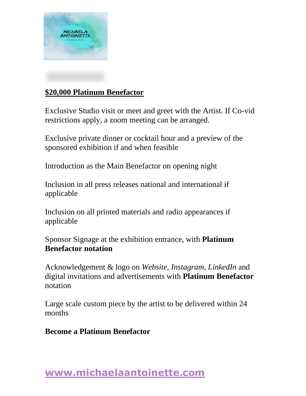

## **\$20,000 Platinum Benefactor**

Exclusive Studio visit or meet and greet with the Artist. If Co-vid restrictions apply, a zoom meeting can be arranged.

Exclusive private dinner or cocktail hour and a preview of the sponsored exhibition if and when feasible

Introduction as the Main Benefactor on opening night

Inclusion in all press releases national and international if applicable

Inclusion on all printed materials and radio appearances if applicable

Sponsor Signage at the exhibition entrance, with **Platinum Benefactor notation**

Acknowledgement & logo on *Website*, *Instagram*, *LinkedIn* and digital invitations and advertisements with **Platinum Benefactor**  notation

Large scale custom piece by the artist to be delivered within 24 months

**Become a Platinum Benefactor**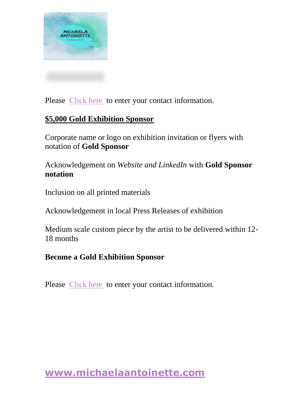

Please [Click here](https://www.michaelaantoinette.com/contact) to enter your contact information.

#### **\$5,000 Gold Exhibition Sponsor**

Corporate name or logo on exhibition invitation or flyers with notation of **Gold Sponsor**

Acknowledgement on *Website and LinkedIn* with **Gold Sponsor notation** 

Inclusion on all printed materials

Acknowledgement in local Press Releases of exhibition

Medium scale custom piece by the artist to be delivered within 12- 18 months

#### **Become a Gold Exhibition Sponsor**

Please [Click here](https://www.michaelaantoinette.com/contact) to enter your contact information.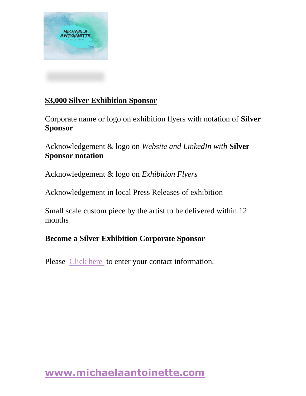

### **\$3,000 Silver Exhibition Sponsor**

Corporate name or logo on exhibition flyers with notation of **Silver Sponsor**

Acknowledgement & logo on *Website and LinkedIn with* **Silver Sponsor notation**

Acknowledgement & logo on *Exhibition Flyers*

Acknowledgement in local Press Releases of exhibition

Small scale custom piece by the artist to be delivered within 12 months

## **Become a Silver Exhibition Corporate Sponsor**

Please [Click here](https://www.michaelaantoinette.com/contact) to enter your contact information.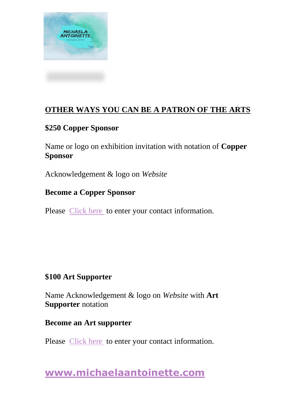

## **OTHER WAYS YOU CAN BE A PATRON OF THE ARTS**

### **\$250 Copper Sponsor**

Name or logo on exhibition invitation with notation of **Copper Sponsor**

Acknowledgement & logo on *Website*

### **Become a Copper Sponsor**

Please [Click here](https://www.michaelaantoinette.com/contact) to enter your contact information.

## **\$100 Art Supporter**

Name Acknowledgement & logo on *Website* with **Art Supporter** notation

#### **Become an Art supporter**

Please [Click here](https://www.michaelaantoinette.com/contact) to enter your contact information.